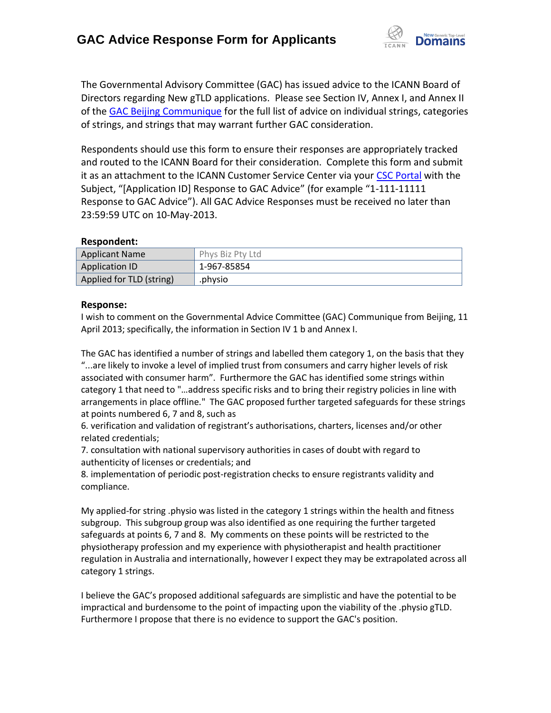

The Governmental Advisory Committee (GAC) has issued advice to the ICANN Board of Directors regarding New gTLD applications. Please see Section IV, Annex I, and Annex II of the [GAC Beijing Communique](http://www.icann.org/en/news/correspondence/gac-to-board-18apr13-en.pdf) for the full list of advice on individual strings, categories of strings, and strings that may warrant further GAC consideration.

Respondents should use this form to ensure their responses are appropriately tracked and routed to the ICANN Board for their consideration. Complete this form and submit it as an attachment to the ICANN Customer Service Center via your CSC [Portal](https://myicann.secure.force.com/) with the Subject, "[Application ID] Response to GAC Advice" (for example "1-111-11111 Response to GAC Advice"). All GAC Advice Responses must be received no later than 23:59:59 UTC on 10-May-2013.

## **Respondent:**

| <b>Applicant Name</b>    | Phys Biz Pty Ltd |
|--------------------------|------------------|
| <b>Application ID</b>    | 1-967-85854      |
| Applied for TLD (string) | .physio          |

## **Response:**

I wish to comment on the Governmental Advice Committee (GAC) Communique from Beijing, 11 April 2013; specifically, the information in Section IV 1 b and Annex I.

The GAC has identified a number of strings and labelled them category 1, on the basis that they "...are likely to invoke a level of implied trust from consumers and carry higher levels of risk associated with consumer harm". Furthermore the GAC has identified some strings within category 1 that need to "…address specific risks and to bring their registry policies in line with arrangements in place offline." The GAC proposed further targeted safeguards for these strings at points numbered 6, 7 and 8, such as

6. verification and validation of registrant's authorisations, charters, licenses and/or other related credentials;

7. consultation with national supervisory authorities in cases of doubt with regard to authenticity of licenses or credentials; and

8. implementation of periodic post-registration checks to ensure registrants validity and compliance.

My applied-for string .physio was listed in the category 1 strings within the health and fitness subgroup. This subgroup group was also identified as one requiring the further targeted safeguards at points 6, 7 and 8. My comments on these points will be restricted to the physiotherapy profession and my experience with physiotherapist and health practitioner regulation in Australia and internationally, however I expect they may be extrapolated across all category 1 strings.

I believe the GAC's proposed additional safeguards are simplistic and have the potential to be impractical and burdensome to the point of impacting upon the viability of the .physio gTLD. Furthermore I propose that there is no evidence to support the GAC's position.